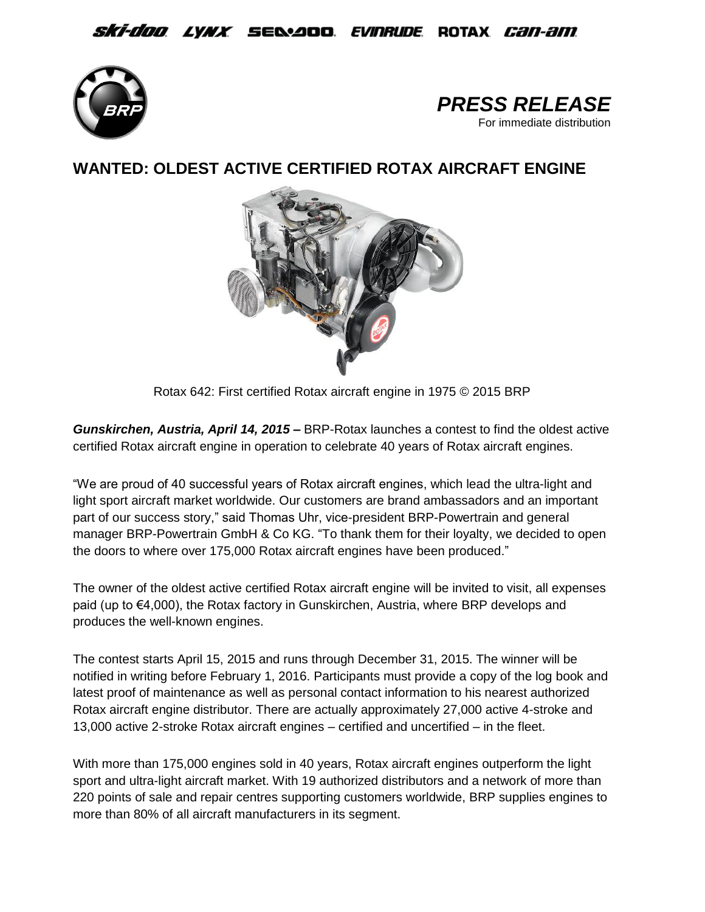## *Ski-doo lynx s*e&aoo *evinrude* rotax *can-am*





**WANTED: OLDEST ACTIVE CERTIFIED ROTAX AIRCRAFT ENGINE**



Rotax 642: First certified Rotax aircraft engine in 1975 © 2015 BRP

*Gunskirchen, Austria, April 14, 2015* **–** BRP-Rotax launches a contest to find the oldest active certified Rotax aircraft engine in operation to celebrate 40 years of Rotax aircraft engines.

"We are proud of 40 successful years of Rotax aircraft engines, which lead the ultra-light and light sport aircraft market worldwide. Our customers are brand ambassadors and an important part of our success story," said Thomas Uhr, vice-president BRP-Powertrain and general manager BRP-Powertrain GmbH & Co KG. "To thank them for their loyalty, we decided to open the doors to where over 175,000 Rotax aircraft engines have been produced."

The owner of the oldest active certified Rotax aircraft engine will be invited to visit, all expenses paid (up to €4,000), the Rotax factory in Gunskirchen, Austria, where BRP develops and produces the well-known engines.

The contest starts April 15, 2015 and runs through December 31, 2015. The winner will be notified in writing before February 1, 2016. Participants must provide a copy of the log book and latest proof of maintenance as well as personal contact information to his nearest authorized Rotax aircraft engine distributor. There are actually approximately 27,000 active 4-stroke and 13,000 active 2-stroke Rotax aircraft engines – certified and uncertified – in the fleet.

With more than 175,000 engines sold in 40 years, Rotax aircraft engines outperform the light sport and ultra-light aircraft market. With 19 authorized distributors and a network of more than 220 points of sale and repair centres supporting customers worldwide, BRP supplies engines to more than 80% of all aircraft manufacturers in its segment.